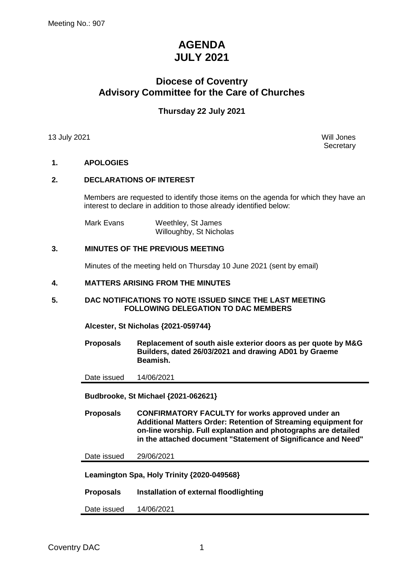# **AGENDA JULY 2021**

## **Diocese of Coventry Advisory Committee for the Care of Churches**

## **Thursday 22 July 2021**

13 July 2021 Will Jones

**Secretary** 

## **1. APOLOGIES**

## **2. DECLARATIONS OF INTEREST**

Members are requested to identify those items on the agenda for which they have an interest to declare in addition to those already identified below:

Mark Evans Weethley, St James Willoughby, St Nicholas

## **3. MINUTES OF THE PREVIOUS MEETING**

Minutes of the meeting held on Thursday 10 June 2021 (sent by email)

#### **4. MATTERS ARISING FROM THE MINUTES**

#### **5. DAC NOTIFICATIONS TO NOTE ISSUED SINCE THE LAST MEETING FOLLOWING DELEGATION TO DAC MEMBERS**

**Alcester, St Nicholas {2021-059744}**

**Proposals Replacement of south aisle exterior doors as per quote by M&G Builders, dated 26/03/2021 and drawing AD01 by Graeme Beamish.**

Date issued 14/06/2021

**Budbrooke, St Michael {2021-062621}**

**Proposals CONFIRMATORY FACULTY for works approved under an Additional Matters Order: Retention of Streaming equipment for on-line worship. Full explanation and photographs are detailed in the attached document "Statement of Significance and Need"**

Date issued 29/06/2021

**Leamington Spa, Holy Trinity {2020-049568}**

**Proposals Installation of external floodlighting**

Date issued 14/06/2021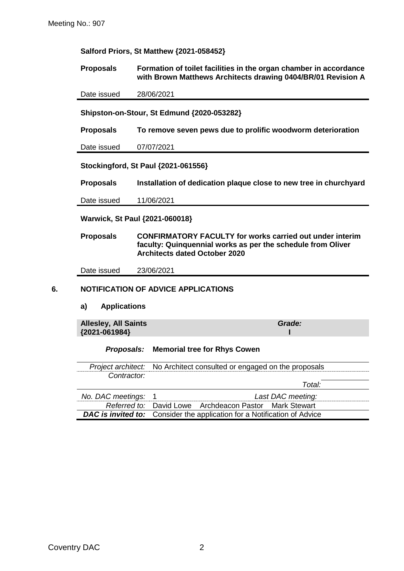**Salford Priors, St Matthew {2021-058452}**

**Proposals Formation of toilet facilities in the organ chamber in accordance with Brown Matthews Architects drawing 0404/BR/01 Revision A**

Date issued 28/06/2021

**Shipston-on-Stour, St Edmund {2020-053282}**

**Proposals To remove seven pews due to prolific woodworm deterioration**

Date issued 07/07/2021

**Stockingford, St Paul {2021-061556}**

**Proposals Installation of dedication plaque close to new tree in churchyard**

Date issued 11/06/2021

**Warwick, St Paul {2021-060018}**

**Proposals CONFIRMATORY FACULTY for works carried out under interim faculty: Quinquennial works as per the schedule from Oliver Architects dated October 2020**

Date issued 23/06/2021

#### **6. NOTIFICATION OF ADVICE APPLICATIONS**

#### **a) Applications**

**Allesley, All Saints {2021-061984}** *Grade:* **I**

#### *Proposals:* **Memorial tree for Rhys Cowen**

*Project architect:* No Architect consulted or engaged on the proposals *Contractor:*

|                     |                                                                                 | Total:            |  |
|---------------------|---------------------------------------------------------------------------------|-------------------|--|
| No. DAC meetings: 1 |                                                                                 | Last DAC meeting: |  |
|                     | Referred to: David Lowe Archdeacon Pastor Mark Stewart                          |                   |  |
|                     | <b>DAC is invited to:</b> Consider the application for a Notification of Advice |                   |  |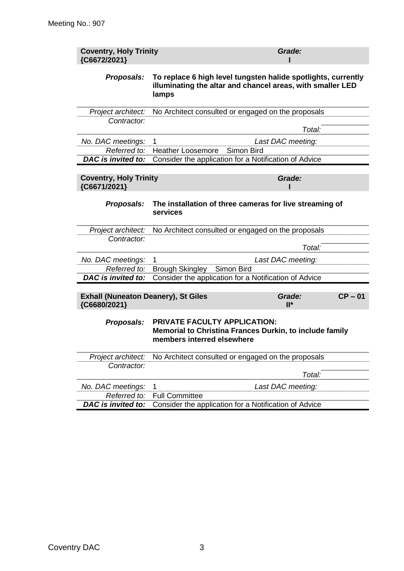| To replace 6 high level tungsten halide spotlights, currently<br>illuminating the altar and chancel areas, with smaller LED |
|-----------------------------------------------------------------------------------------------------------------------------|
|                                                                                                                             |
|                                                                                                                             |
|                                                                                                                             |
|                                                                                                                             |
|                                                                                                                             |
|                                                                                                                             |
|                                                                                                                             |
| The installation of three cameras for live streaming of                                                                     |
|                                                                                                                             |
|                                                                                                                             |
|                                                                                                                             |
|                                                                                                                             |
|                                                                                                                             |
|                                                                                                                             |
| $CP - 01$                                                                                                                   |
| Memorial to Christina Frances Durkin, to include family                                                                     |
|                                                                                                                             |
|                                                                                                                             |
|                                                                                                                             |
|                                                                                                                             |
|                                                                                                                             |
|                                                                                                                             |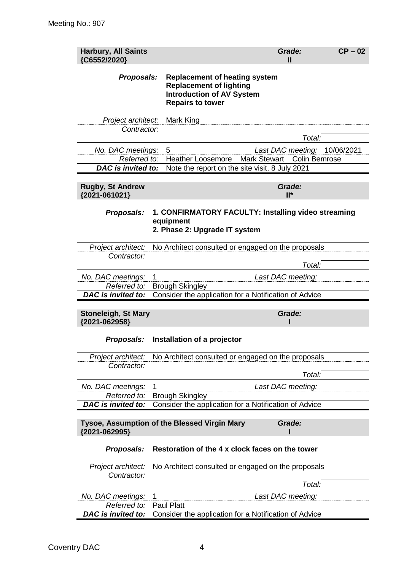| <b>Harbury, All Saints</b><br>{C6552/2020}                              | Grade:<br>$\mathbf{H}$                                                                                                                             | $CP - 02$ |  |  |
|-------------------------------------------------------------------------|----------------------------------------------------------------------------------------------------------------------------------------------------|-----------|--|--|
| Proposals:                                                              | <b>Replacement of heating system</b><br><b>Replacement of lighting</b><br><b>Introduction of AV System</b><br><b>Repairs to tower</b>              |           |  |  |
| Project architect:                                                      | Mark King                                                                                                                                          |           |  |  |
| Contractor:                                                             |                                                                                                                                                    |           |  |  |
|                                                                         | Total:                                                                                                                                             |           |  |  |
| No. DAC meetings:<br>5<br>Referred to:<br>DAC is invited to:            | Last DAC meeting: 10/06/2021<br><b>Heather Loosemore</b><br><b>Mark Stewart</b><br>Colin Bemrose<br>Note the report on the site visit, 8 July 2021 |           |  |  |
|                                                                         |                                                                                                                                                    |           |  |  |
| <b>Rugby, St Andrew</b><br>{2021-061021}                                | Grade:<br>$II^*$                                                                                                                                   |           |  |  |
| <b>Proposals:</b><br>equipment                                          | 1. CONFIRMATORY FACULTY: Installing video streaming<br>2. Phase 2: Upgrade IT system                                                               |           |  |  |
| Project architect:                                                      | No Architect consulted or engaged on the proposals                                                                                                 |           |  |  |
| Contractor:                                                             |                                                                                                                                                    |           |  |  |
|                                                                         | Total:                                                                                                                                             |           |  |  |
| No. DAC meetings:<br>1<br>Referred to:                                  | Last DAC meeting:<br><b>Brough Skingley</b>                                                                                                        |           |  |  |
| DAC is invited to:                                                      | Consider the application for a Notification of Advice                                                                                              |           |  |  |
|                                                                         |                                                                                                                                                    |           |  |  |
| <b>Stoneleigh, St Mary</b><br>{2021-062958}                             | Grade:                                                                                                                                             |           |  |  |
| Proposals:                                                              | Installation of a projector                                                                                                                        |           |  |  |
| Project architect:                                                      | No Architect consulted or engaged on the proposals                                                                                                 |           |  |  |
| Contractor:                                                             |                                                                                                                                                    |           |  |  |
|                                                                         | Total:                                                                                                                                             |           |  |  |
| No. DAC meetings:<br>1<br>Referred to:                                  | Last DAC meeting:                                                                                                                                  |           |  |  |
| <b>DAC</b> is invited to:                                               | <b>Brough Skingley</b><br>Consider the application for a Notification of Advice                                                                    |           |  |  |
|                                                                         |                                                                                                                                                    |           |  |  |
| Tysoe, Assumption of the Blessed Virgin Mary<br>Grade:<br>{2021-062995} |                                                                                                                                                    |           |  |  |
| Proposals:                                                              | Restoration of the 4 x clock faces on the tower                                                                                                    |           |  |  |
| Project architect:                                                      | No Architect consulted or engaged on the proposals                                                                                                 |           |  |  |
| Contractor:                                                             |                                                                                                                                                    |           |  |  |
|                                                                         | Total:                                                                                                                                             |           |  |  |
| 1<br>No. DAC meetings:<br>Referred to:<br><b>Paul Platt</b>             | Last DAC meeting:                                                                                                                                  |           |  |  |
| DAC is invited to:                                                      | Consider the application for a Notification of Advice                                                                                              |           |  |  |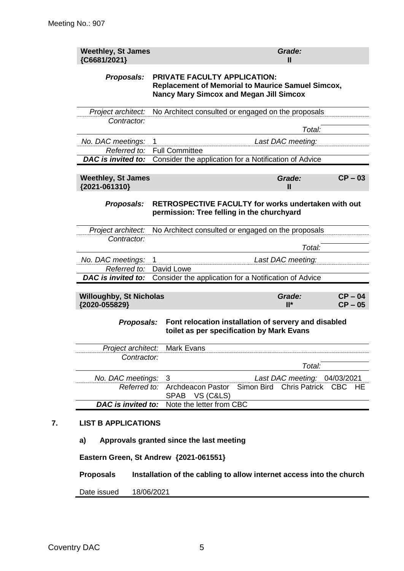| <b>Weethley, St James</b><br>{C6681/2021}       |                                                                                                                                            |                                                                                                   |            | Grade:<br>$\mathbf{I}$                               |                        |
|-------------------------------------------------|--------------------------------------------------------------------------------------------------------------------------------------------|---------------------------------------------------------------------------------------------------|------------|------------------------------------------------------|------------------------|
| Proposals:                                      | PRIVATE FACULTY APPLICATION:<br><b>Replacement of Memorial to Maurice Samuel Simcox,</b><br><b>Nancy Mary Simcox and Megan Jill Simcox</b> |                                                                                                   |            |                                                      |                        |
| Project architect:                              |                                                                                                                                            | No Architect consulted or engaged on the proposals                                                |            |                                                      |                        |
| Contractor:                                     |                                                                                                                                            |                                                                                                   |            | Total:                                               |                        |
| No. DAC meetings:                               |                                                                                                                                            |                                                                                                   |            |                                                      |                        |
| Referred to:                                    | Last DAC meeting:<br>1<br><b>Full Committee</b>                                                                                            |                                                                                                   |            |                                                      |                        |
| DAC is invited to:                              |                                                                                                                                            | Consider the application for a Notification of Advice                                             |            |                                                      |                        |
| <b>Weethley, St James</b><br>{2021-061310}      |                                                                                                                                            |                                                                                                   |            | Grade:<br>Ш                                          | $CP - 03$              |
| Proposals:                                      |                                                                                                                                            | RETROSPECTIVE FACULTY for works undertaken with out<br>permission: Tree felling in the churchyard |            |                                                      |                        |
| Project architect:                              |                                                                                                                                            | No Architect consulted or engaged on the proposals                                                |            |                                                      |                        |
| Contractor:                                     |                                                                                                                                            |                                                                                                   |            |                                                      |                        |
|                                                 |                                                                                                                                            |                                                                                                   |            | Total:                                               |                        |
| No. DAC meetings:<br>Referred to:               | 1                                                                                                                                          | David Lowe                                                                                        |            | Last DAC meeting:                                    |                        |
| <b>DAC</b> is invited to:                       |                                                                                                                                            | Consider the application for a Notification of Advice                                             |            |                                                      |                        |
|                                                 |                                                                                                                                            |                                                                                                   |            |                                                      |                        |
| <b>Willoughby, St Nicholas</b><br>{2020-055829} |                                                                                                                                            |                                                                                                   |            | Grade:<br>$II^*$                                     | $CP - 04$<br>$CP - 05$ |
|                                                 |                                                                                                                                            |                                                                                                   |            |                                                      |                        |
| Proposals:                                      |                                                                                                                                            | Font relocation installation of servery and disabled<br>toilet as per specification by Mark Evans |            |                                                      |                        |
| Project architect:                              |                                                                                                                                            | Mark Evans                                                                                        |            |                                                      |                        |
| Contractor:                                     |                                                                                                                                            |                                                                                                   |            |                                                      |                        |
|                                                 |                                                                                                                                            |                                                                                                   |            | Total:                                               |                        |
| No. DAC meetings:<br>Referred to:               |                                                                                                                                            | 3<br>Archdeacon Pastor<br>SPAB VS (C&LS)                                                          | Simon Bird | Last DAC meeting: 04/03/2021<br>Chris Patrick CBC HE |                        |
| DAC is invited to:                              |                                                                                                                                            | Note the letter from CBC                                                                          |            |                                                      |                        |
| <b>LIST B APPLICATIONS</b>                      |                                                                                                                                            |                                                                                                   |            |                                                      |                        |
| a)                                              |                                                                                                                                            | Approvals granted since the last meeting                                                          |            |                                                      |                        |
| Eastern Green, St Andrew {2021-061551}          |                                                                                                                                            |                                                                                                   |            |                                                      |                        |
| <b>Proposals</b>                                |                                                                                                                                            | Installation of the cabling to allow internet access into the church                              |            |                                                      |                        |
|                                                 |                                                                                                                                            |                                                                                                   |            |                                                      |                        |

Date issued 18/06/2021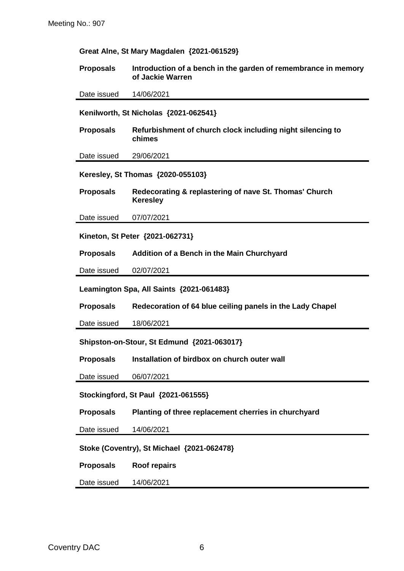| Great Alne, St Mary Magdalen {2021-061529} |                                                                                    |  |  |
|--------------------------------------------|------------------------------------------------------------------------------------|--|--|
| <b>Proposals</b>                           | Introduction of a bench in the garden of remembrance in memory<br>of Jackie Warren |  |  |
| Date issued                                | 14/06/2021                                                                         |  |  |
|                                            | Kenilworth, St Nicholas {2021-062541}                                              |  |  |
| <b>Proposals</b>                           | Refurbishment of church clock including night silencing to<br>chimes               |  |  |
| Date issued                                | 29/06/2021                                                                         |  |  |
|                                            | Keresley, St Thomas {2020-055103}                                                  |  |  |
| <b>Proposals</b>                           | Redecorating & replastering of nave St. Thomas' Church<br><b>Keresley</b>          |  |  |
| Date issued                                | 07/07/2021                                                                         |  |  |
|                                            | Kineton, St Peter {2021-062731}                                                    |  |  |
| <b>Proposals</b>                           | Addition of a Bench in the Main Churchyard                                         |  |  |
| Date issued                                | 02/07/2021                                                                         |  |  |
|                                            | Leamington Spa, All Saints {2021-061483}                                           |  |  |
| <b>Proposals</b>                           | Redecoration of 64 blue ceiling panels in the Lady Chapel                          |  |  |
| Date issued                                | 18/06/2021                                                                         |  |  |
|                                            | Shipston-on-Stour, St Edmund {2021-063017}                                         |  |  |
| <b>Proposals</b>                           | Installation of birdbox on church outer wall                                       |  |  |
| Date issued                                | 06/07/2021                                                                         |  |  |
| Stockingford, St Paul {2021-061555}        |                                                                                    |  |  |
| <b>Proposals</b>                           | Planting of three replacement cherries in churchyard                               |  |  |
| Date issued                                | 14/06/2021                                                                         |  |  |
| Stoke (Coventry), St Michael {2021-062478} |                                                                                    |  |  |
| <b>Proposals</b>                           | <b>Roof repairs</b>                                                                |  |  |
| Date issued                                | 14/06/2021                                                                         |  |  |